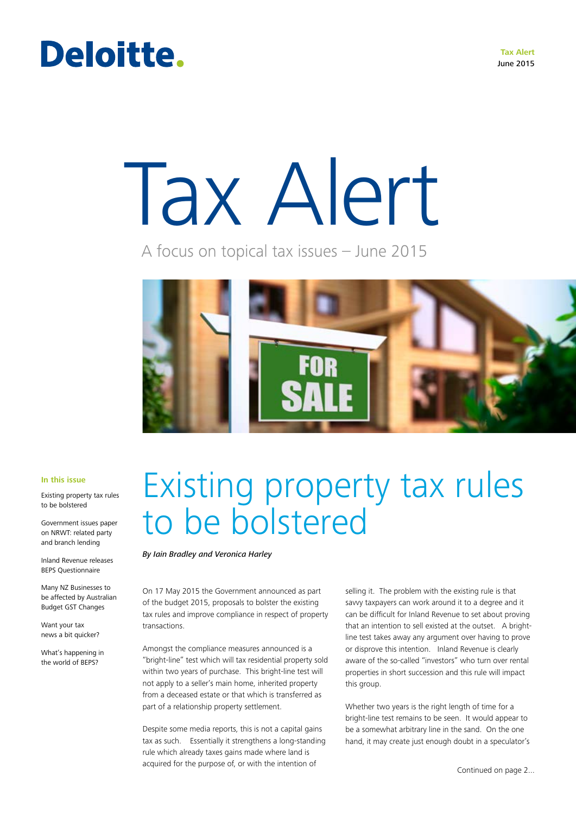#### **Tax Alert** June 2015

# Deloitte.

# Tax Alert

A focus on topical tax issues – June 2015



#### **In this issue**

Existing property tax rules to be bolstered

Government issues paper on NRWT: related party and branch lending

Inland Revenue releases BEPS Questionnaire

Many NZ Businesses to be affected by Australian Budget GST Changes

Want your tax news a bit quicker?

What's happening in the world of BEPS?

# Existing property tax rules to be bolstered

*By Iain Bradley and Veronica Harley*

On 17 May 2015 the Government announced as part of the budget 2015, proposals to bolster the existing tax rules and improve compliance in respect of property transactions.

Amongst the compliance measures announced is a "bright-line" test which will tax residential property sold within two years of purchase. This bright-line test will not apply to a seller's main home, inherited property from a deceased estate or that which is transferred as part of a relationship property settlement.

Despite some media reports, this is not a capital gains tax as such. Essentially it strengthens a long-standing rule which already taxes gains made where land is acquired for the purpose of, or with the intention of

selling it. The problem with the existing rule is that savvy taxpayers can work around it to a degree and it can be difficult for Inland Revenue to set about proving that an intention to sell existed at the outset. A brightline test takes away any argument over having to prove or disprove this intention. Inland Revenue is clearly aware of the so-called "investors" who turn over rental properties in short succession and this rule will impact this group.

Whether two years is the right length of time for a bright-line test remains to be seen. It would appear to be a somewhat arbitrary line in the sand. On the one hand, it may create just enough doubt in a speculator's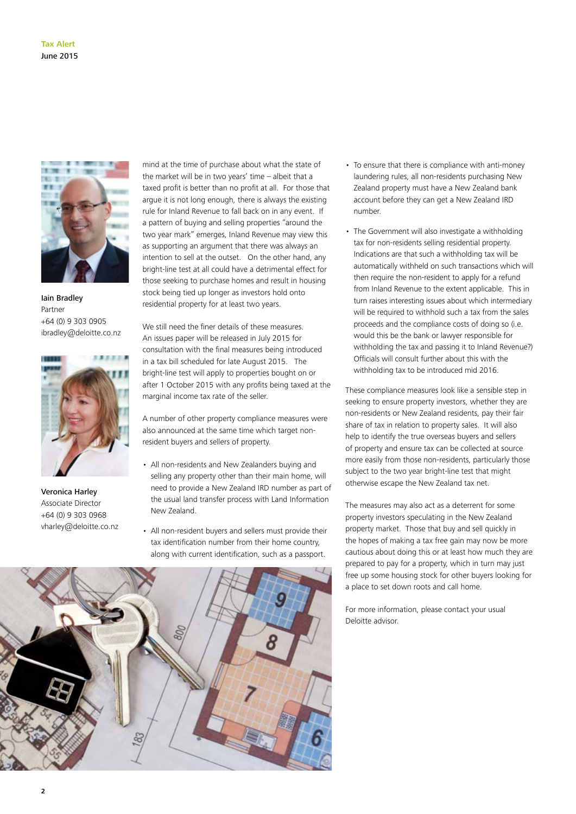

Iain Bradley Partner +64 (0) 9 303 0905 ibradley@deloitte.co.nz



Veronica Harley Associate Director +64 (0) 9 303 0968 vharley@deloitte.co.nz

mind at the time of purchase about what the state of the market will be in two years' time – albeit that a taxed profit is better than no profit at all. For those that argue it is not long enough, there is always the existing rule for Inland Revenue to fall back on in any event. If a pattern of buying and selling properties "around the two year mark" emerges, Inland Revenue may view this as supporting an argument that there was always an intention to sell at the outset. On the other hand, any bright-line test at all could have a detrimental effect for those seeking to purchase homes and result in housing stock being tied up longer as investors hold onto residential property for at least two years.

We still need the finer details of these measures. An issues paper will be released in July 2015 for consultation with the final measures being introduced in a tax bill scheduled for late August 2015. The bright-line test will apply to properties bought on or after 1 October 2015 with any profits being taxed at the marginal income tax rate of the seller.

A number of other property compliance measures were also announced at the same time which target nonresident buyers and sellers of property.

- All non-residents and New Zealanders buying and selling any property other than their main home, will need to provide a New Zealand IRD number as part of the usual land transfer process with Land Information New Zealand.
- All non-resident buyers and sellers must provide their tax identification number from their home country, along with current identification, such as a passport.



- To ensure that there is compliance with anti-money laundering rules, all non-residents purchasing New Zealand property must have a New Zealand bank account before they can get a New Zealand IRD number.
- The Government will also investigate a withholding tax for non-residents selling residential property. Indications are that such a withholding tax will be automatically withheld on such transactions which will then require the non-resident to apply for a refund from Inland Revenue to the extent applicable. This in turn raises interesting issues about which intermediary will be required to withhold such a tax from the sales proceeds and the compliance costs of doing so (i.e. would this be the bank or lawyer responsible for withholding the tax and passing it to Inland Revenue?) Officials will consult further about this with the withholding tax to be introduced mid 2016.

These compliance measures look like a sensible step in seeking to ensure property investors, whether they are non-residents or New Zealand residents, pay their fair share of tax in relation to property sales. It will also help to identify the true overseas buyers and sellers of property and ensure tax can be collected at source more easily from those non-residents, particularly those subject to the two year bright-line test that might otherwise escape the New Zealand tax net.

The measures may also act as a deterrent for some property investors speculating in the New Zealand property market. Those that buy and sell quickly in the hopes of making a tax free gain may now be more cautious about doing this or at least how much they are prepared to pay for a property, which in turn may just free up some housing stock for other buyers looking for a place to set down roots and call home.

For more information, please contact your usual Deloitte advisor.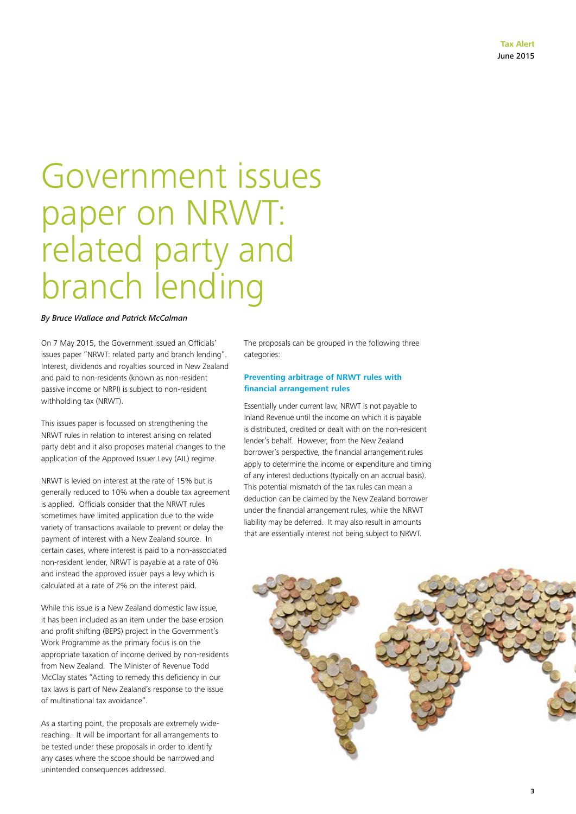# Government issues paper on NRWT: related party and branch lending

#### *By Bruce Wallace and Patrick McCalman*

On 7 May 2015, the Government issued an Officials' issues paper "NRWT: related party and branch lending". Interest, dividends and royalties sourced in New Zealand and paid to non-residents (known as non-resident passive income or NRPI) is subject to non-resident withholding tax (NRWT).

This issues paper is focussed on strengthening the NRWT rules in relation to interest arising on related party debt and it also proposes material changes to the application of the Approved Issuer Levy (AIL) regime.

NRWT is levied on interest at the rate of 15% but is generally reduced to 10% when a double tax agreement is applied. Officials consider that the NRWT rules sometimes have limited application due to the wide variety of transactions available to prevent or delay the payment of interest with a New Zealand source. In certain cases, where interest is paid to a non-associated non-resident lender, NRWT is payable at a rate of 0% and instead the approved issuer pays a levy which is calculated at a rate of 2% on the interest paid.

While this issue is a New Zealand domestic law issue, it has been included as an item under the base erosion and profit shifting (BEPS) project in the Government's Work Programme as the primary focus is on the appropriate taxation of income derived by non-residents from New Zealand. The Minister of Revenue Todd McClay states "Acting to remedy this deficiency in our tax laws is part of New Zealand's response to the issue of multinational tax avoidance".

As a starting point, the proposals are extremely widereaching. It will be important for all arrangements to be tested under these proposals in order to identify any cases where the scope should be narrowed and unintended consequences addressed.

The proposals can be grouped in the following three categories:

#### **Preventing arbitrage of NRWT rules with financial arrangement rules**

Essentially under current law, NRWT is not payable to Inland Revenue until the income on which it is payable is distributed, credited or dealt with on the non-resident lender's behalf. However, from the New Zealand borrower's perspective, the financial arrangement rules apply to determine the income or expenditure and timing of any interest deductions (typically on an accrual basis). This potential mismatch of the tax rules can mean a deduction can be claimed by the New Zealand borrower under the financial arrangement rules, while the NRWT liability may be deferred. It may also result in amounts that are essentially interest not being subject to NRWT.

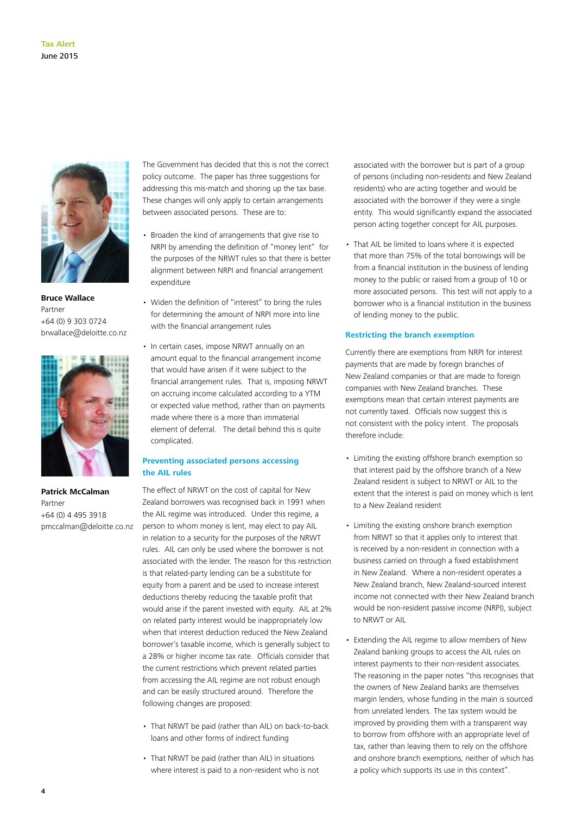

**Bruce Wallace** Partner +64 (0) 9 303 0724 brwallace@deloitte.co.nz



**Patrick McCalman** Partner +64 (0) 4 495 3918 pmccalman@deloitte.co.nz

The Government has decided that this is not the correct policy outcome. The paper has three suggestions for addressing this mis-match and shoring up the tax base. These changes will only apply to certain arrangements between associated persons. These are to:

- Broaden the kind of arrangements that give rise to NRPI by amending the definition of "money lent" for the purposes of the NRWT rules so that there is better alignment between NRPI and financial arrangement expenditure
- Widen the definition of "interest" to bring the rules for determining the amount of NRPI more into line with the financial arrangement rules
- In certain cases, impose NRWT annually on an amount equal to the financial arrangement income that would have arisen if it were subject to the financial arrangement rules. That is, imposing NRWT on accruing income calculated according to a YTM or expected value method, rather than on payments made where there is a more than immaterial element of deferral. The detail behind this is quite complicated.

#### **Preventing associated persons accessing the AIL rules**

The effect of NRWT on the cost of capital for New Zealand borrowers was recognised back in 1991 when the AIL regime was introduced. Under this regime, a person to whom money is lent, may elect to pay AIL in relation to a security for the purposes of the NRWT rules. AIL can only be used where the borrower is not associated with the lender. The reason for this restriction is that related-party lending can be a substitute for equity from a parent and be used to increase interest deductions thereby reducing the taxable profit that would arise if the parent invested with equity. AIL at 2% on related party interest would be inappropriately low when that interest deduction reduced the New Zealand borrower's taxable income, which is generally subject to a 28% or higher income tax rate. Officials consider that the current restrictions which prevent related parties from accessing the AIL regime are not robust enough and can be easily structured around. Therefore the following changes are proposed:

- That NRWT be paid (rather than AIL) on back-to-back loans and other forms of indirect funding
- That NRWT be paid (rather than AIL) in situations where interest is paid to a non-resident who is not

associated with the borrower but is part of a group of persons (including non-residents and New Zealand residents) who are acting together and would be associated with the borrower if they were a single entity. This would significantly expand the associated person acting together concept for AIL purposes.

• That AIL be limited to loans where it is expected that more than 75% of the total borrowings will be from a financial institution in the business of lending money to the public or raised from a group of 10 or more associated persons. This test will not apply to a borrower who is a financial institution in the business of lending money to the public.

#### **Restricting the branch exemption**

Currently there are exemptions from NRPI for interest payments that are made by foreign branches of New Zealand companies or that are made to foreign companies with New Zealand branches. These exemptions mean that certain interest payments are not currently taxed. Officials now suggest this is not consistent with the policy intent. The proposals therefore include:

- Limiting the existing offshore branch exemption so that interest paid by the offshore branch of a New Zealand resident is subject to NRWT or AIL to the extent that the interest is paid on money which is lent to a New Zealand resident
- Limiting the existing onshore branch exemption from NRWT so that it applies only to interest that is received by a non-resident in connection with a business carried on through a fixed establishment in New Zealand. Where a non-resident operates a New Zealand branch, New Zealand-sourced interest income not connected with their New Zealand branch would be non-resident passive income (NRPI), subject to NRWT or AIL
- Extending the AIL regime to allow members of New Zealand banking groups to access the AIL rules on interest payments to their non-resident associates. The reasoning in the paper notes "this recognises that the owners of New Zealand banks are themselves margin lenders, whose funding in the main is sourced from unrelated lenders. The tax system would be improved by providing them with a transparent way to borrow from offshore with an appropriate level of tax, rather than leaving them to rely on the offshore and onshore branch exemptions, neither of which has a policy which supports its use in this context".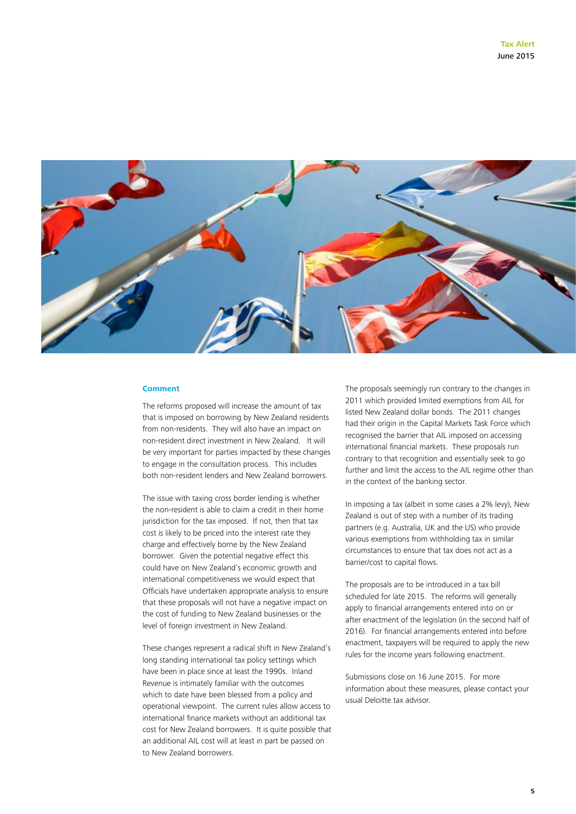

#### **Comment**

The reforms proposed will increase the amount of tax that is imposed on borrowing by New Zealand residents from non-residents. They will also have an impact on non-resident direct investment in New Zealand. It will be very important for parties impacted by these changes to engage in the consultation process. This includes both non-resident lenders and New Zealand borrowers.

The issue with taxing cross border lending is whether the non-resident is able to claim a credit in their home jurisdiction for the tax imposed. If not, then that tax cost is likely to be priced into the interest rate they charge and effectively borne by the New Zealand borrower. Given the potential negative effect this could have on New Zealand's economic growth and international competitiveness we would expect that Officials have undertaken appropriate analysis to ensure that these proposals will not have a negative impact on the cost of funding to New Zealand businesses or the level of foreign investment in New Zealand.

These changes represent a radical shift in New Zealand's long standing international tax policy settings which have been in place since at least the 1990s. Inland Revenue is intimately familiar with the outcomes which to date have been blessed from a policy and operational viewpoint. The current rules allow access to international finance markets without an additional tax cost for New Zealand borrowers. It is quite possible that an additional AIL cost will at least in part be passed on to New Zealand borrowers.

The proposals seemingly run contrary to the changes in 2011 which provided limited exemptions from AIL for listed New Zealand dollar bonds. The 2011 changes had their origin in the Capital Markets Task Force which recognised the barrier that AIL imposed on accessing international financial markets. These proposals run contrary to that recognition and essentially seek to go further and limit the access to the AIL regime other than in the context of the banking sector.

In imposing a tax (albeit in some cases a 2% levy), New Zealand is out of step with a number of its trading partners (e.g. Australia, UK and the US) who provide various exemptions from withholding tax in similar circumstances to ensure that tax does not act as a barrier/cost to capital flows.

The proposals are to be introduced in a tax bill scheduled for late 2015. The reforms will generally apply to financial arrangements entered into on or after enactment of the legislation (in the second half of 2016). For financial arrangements entered into before enactment, taxpayers will be required to apply the new rules for the income years following enactment.

Submissions close on 16 June 2015. For more information about these measures, please contact your usual Deloitte tax advisor.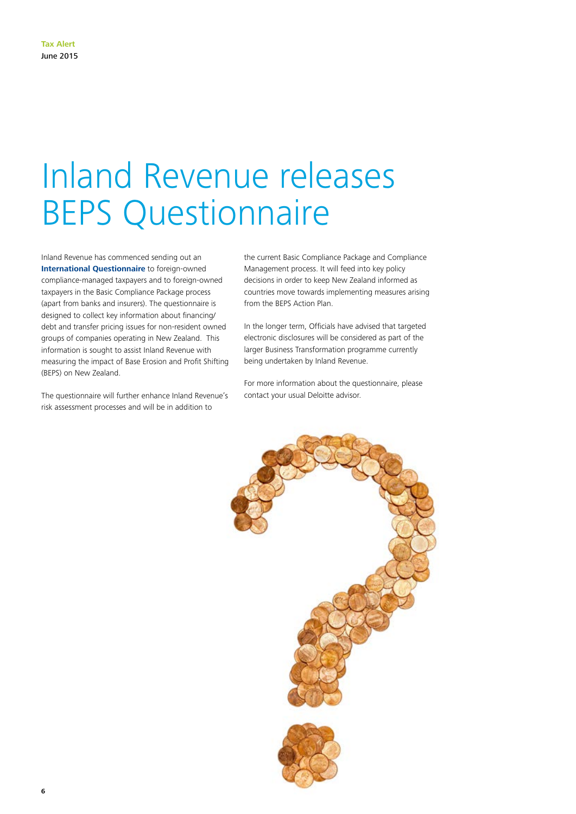# Inland Revenue releases BEPS Questionnaire

Inland Revenue has commenced sending out an **[International Questionnaire](http://www.ird.govt.nz/resources/4/6/46ad1896-cc72-4e25-ab51-1f29efecda57/beps-questionnaire.pdf)** to foreign-owned compliance-managed taxpayers and to foreign-owned taxpayers in the Basic Compliance Package process (apart from banks and insurers). The questionnaire is designed to collect key information about financing/ debt and transfer pricing issues for non-resident owned groups of companies operating in New Zealand. This information is sought to assist Inland Revenue with measuring the impact of Base Erosion and Profit Shifting (BEPS) on New Zealand.

The questionnaire will further enhance Inland Revenue's risk assessment processes and will be in addition to

the current Basic Compliance Package and Compliance Management process. It will feed into key policy decisions in order to keep New Zealand informed as countries move towards implementing measures arising from the BEPS Action Plan.

In the longer term, Officials have advised that targeted electronic disclosures will be considered as part of the larger Business Transformation programme currently being undertaken by Inland Revenue.

For more information about the questionnaire, please contact your usual Deloitte advisor.

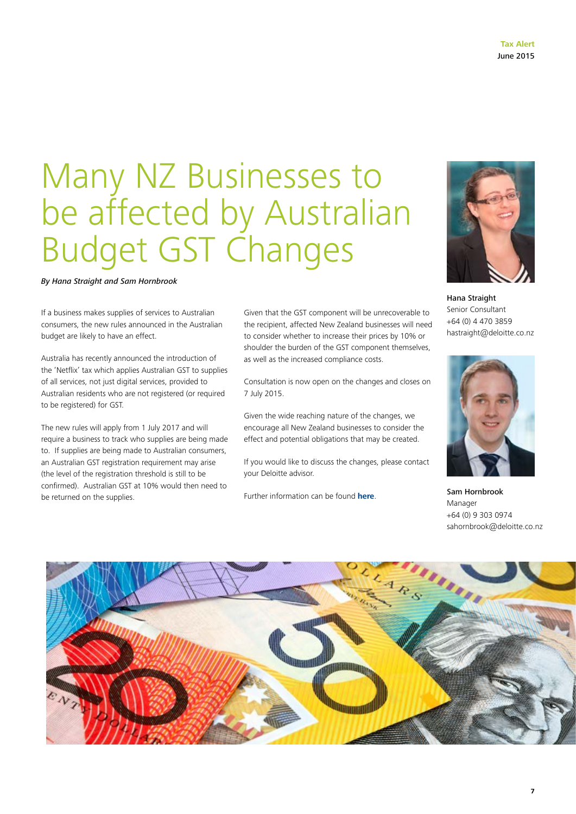# Many NZ Businesses to be affected by Australian Budget GST Changes

*By Hana Straight and Sam Hornbrook*

If a business makes supplies of services to Australian consumers, the new rules announced in the Australian budget are likely to have an effect.

Australia has recently announced the introduction of the 'Netflix' tax which applies Australian GST to supplies of all services, not just digital services, provided to Australian residents who are not registered (or required to be registered) for GST.

The new rules will apply from 1 July 2017 and will require a business to track who supplies are being made to. If supplies are being made to Australian consumers, an Australian GST registration requirement may arise (the level of the registration threshold is still to be confirmed). Australian GST at 10% would then need to be returned on the supplies.

Given that the GST component will be unrecoverable to the recipient, affected New Zealand businesses will need to consider whether to increase their prices by 10% or shoulder the burden of the GST component themselves, as well as the increased compliance costs.

Consultation is now open on the changes and closes on 7 July 2015.

Given the wide reaching nature of the changes, we encourage all New Zealand businesses to consider the effect and potential obligations that may be created.

If you would like to discuss the changes, please contact your Deloitte advisor.

Further information can be found **[here](http://www.taxathand.com/article/Australia/2015/2015-16-Federal-Budget-insights-GST-on-intangible-imports)**.



Hana Straight Senior Consultant +64 (0) 4 470 3859 hastraight@deloitte.co.nz



Sam Hornbrook Manager +64 (0) 9 303 0974 sahornbrook@deloitte.co.nz

**7**